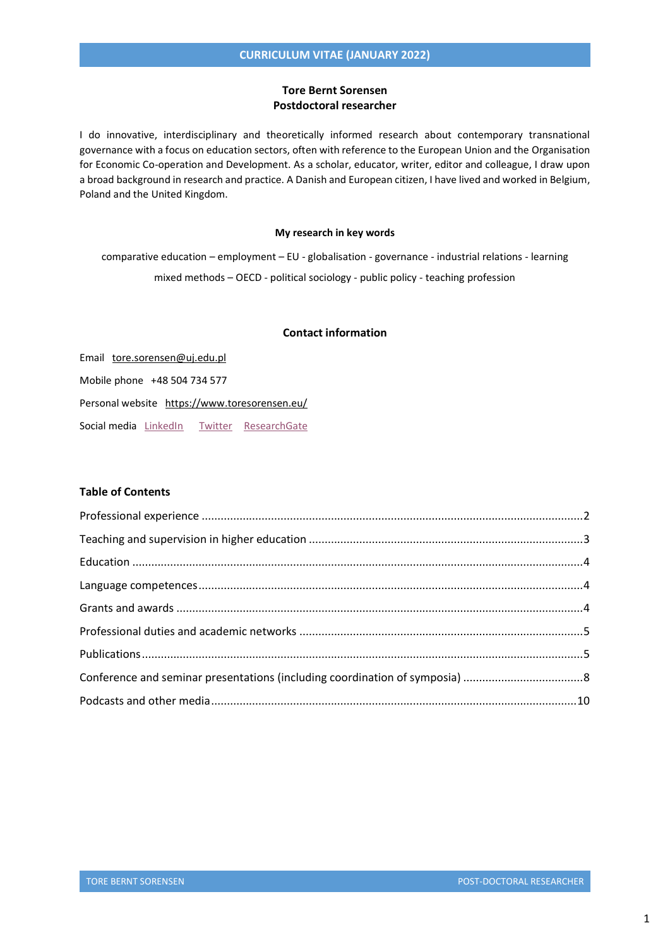## **Tore Bernt Sorensen Postdoctoral researcher**

I do innovative, interdisciplinary and theoretically informed research about contemporary transnational governance with a focus on education sectors, often with reference to the European Union and the Organisation for Economic Co-operation and Development. As a scholar, educator, writer, editor and colleague, I draw upon a broad background in research and practice. A Danish and European citizen, I have lived and worked in Belgium, Poland and the United Kingdom.

#### **My research in key words**

comparative education – employment – EU - globalisation - governance - industrial relations - learning mixed methods – OECD - political sociology - public policy - teaching profession

## **Contact information**

Email [tore.sorensen@uj.edu.pl](mailto:tore.sorensen@uj.edu.pl) Mobile phone +48 504 734 577 Personal website <https://www.toresorensen.eu/> Social media [LinkedIn](https://www.linkedin.com/in/tore-bernt-s%C3%B8rensen-1b066aa1/) [Twitter](https://twitter.com/ToreSorensen) [ResearchGate](http://www.researchgate.net/profile/Tore-Bernt-Sorensen)

## **Table of Contents**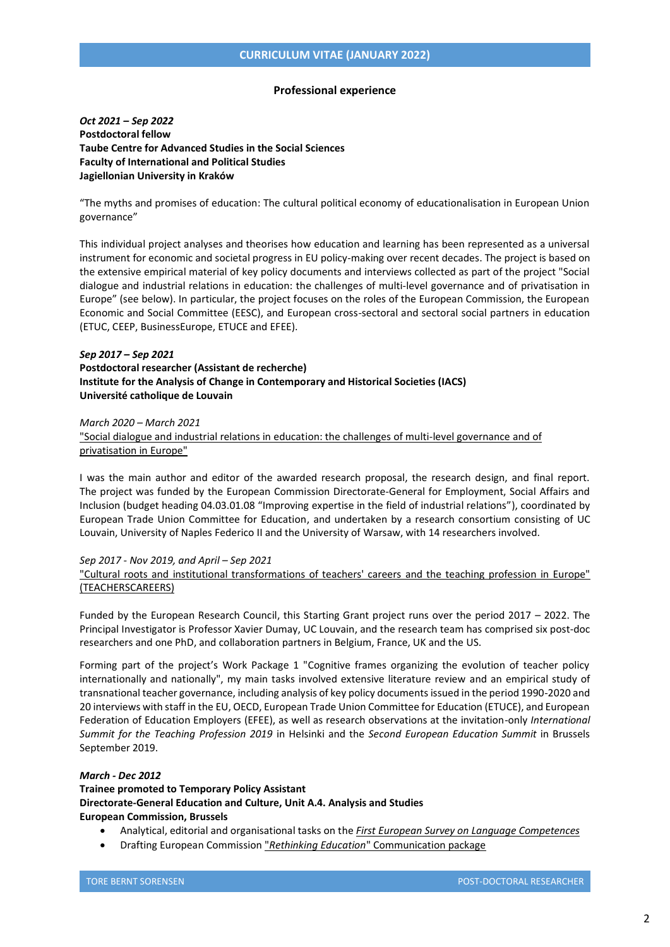#### **Professional experience**

<span id="page-1-0"></span>*Oct 2021 – Sep 2022* **Postdoctoral fellow Taube Centre for Advanced Studies in the Social Sciences Faculty of International and Political Studies Jagiellonian University in Kraków**

"The myths and promises of education: The cultural political economy of educationalisation in European Union governance"

This individual project analyses and theorises how education and learning has been represented as a universal instrument for economic and societal progress in EU policy-making over recent decades. The project is based on the extensive empirical material of key policy documents and interviews collected as part of the project "Social dialogue and industrial relations in education: the challenges of multi-level governance and of privatisation in Europe" (see below). In particular, the project focuses on the roles of the European Commission, the European Economic and Social Committee (EESC), and European cross-sectoral and sectoral social partners in education (ETUC, CEEP, BusinessEurope, ETUCE and EFEE).

## *Sep 2017 – Sep 2021* **Postdoctoral researcher (Assistant de recherche) Institute for the Analysis of Change in Contemporary and Historical Societies (IACS) Université catholique de Louvain**

*March 2020 – March 2021* 

["Social dialogue and industrial relations in education: the challenges of multi-level governance and of](https://www.csee-etuce.org/en/projects/privatisation-and-industrial-relations/4236-description)  [privatisation in Europe"](https://www.csee-etuce.org/en/projects/privatisation-and-industrial-relations/4236-description)

I was the main author and editor of the awarded research proposal, the research design, and final report. The project was funded by the European Commission Directorate-General for Employment, Social Affairs and Inclusion (budget heading 04.03.01.08 "Improving expertise in the field of industrial relations"), coordinated by European Trade Union Committee for Education, and undertaken by a research consortium consisting of UC Louvain, University of Naples Federico II and the University of Warsaw, with 14 researchers involved.

### *Sep 2017 - Nov 2019, and April – Sep 2021*

["Cultural roots and institutional transformations of teachers' careers](https://www.teacherscareers.eu/) and the teaching profession in Europe" [\(TEACHERSCAREERS\)](https://www.teacherscareers.eu/)

Funded by the European Research Council, this Starting Grant project runs over the period 2017 – 2022. The Principal Investigator is Professor Xavier Dumay, UC Louvain, and the research team has comprised six post-doc researchers and one PhD, and collaboration partners in Belgium, France, UK and the US.

Forming part of the project's Work Package 1 "Cognitive frames organizing the evolution of teacher policy internationally and nationally", my main tasks involved extensive literature review and an empirical study of transnational teacher governance, including analysis of key policy documents issued in the period 1990-2020 and 20 interviews with staff in the EU, OECD, European Trade Union Committee for Education (ETUCE), and European Federation of Education Employers (EFEE), as well as research observations at the invitation-only *International Summit for the Teaching Profession 2019* in Helsinki and the *Second European Education Summit* in Brussels September 2019.

## *March - Dec 2012* **Trainee promoted to Temporary Policy Assistant Directorate-General Education and Culture, Unit A.4. Analysis and Studies European Commission, Brussels**

- Analytical, editorial and organisational tasks on the *[First European Survey on Language Competences](https://op.europa.eu/en/publication-detail/-/publication/42ea89dc-373a-4d4f-aa27-9903852cd2e4/language-en/format-PDF/source-116835286)*
- Drafting European Commission "*Rethinking Education*" [Communication package](https://eur-lex.europa.eu/legal-content/EN/LSU/?uri=CELEX:52012DC0669)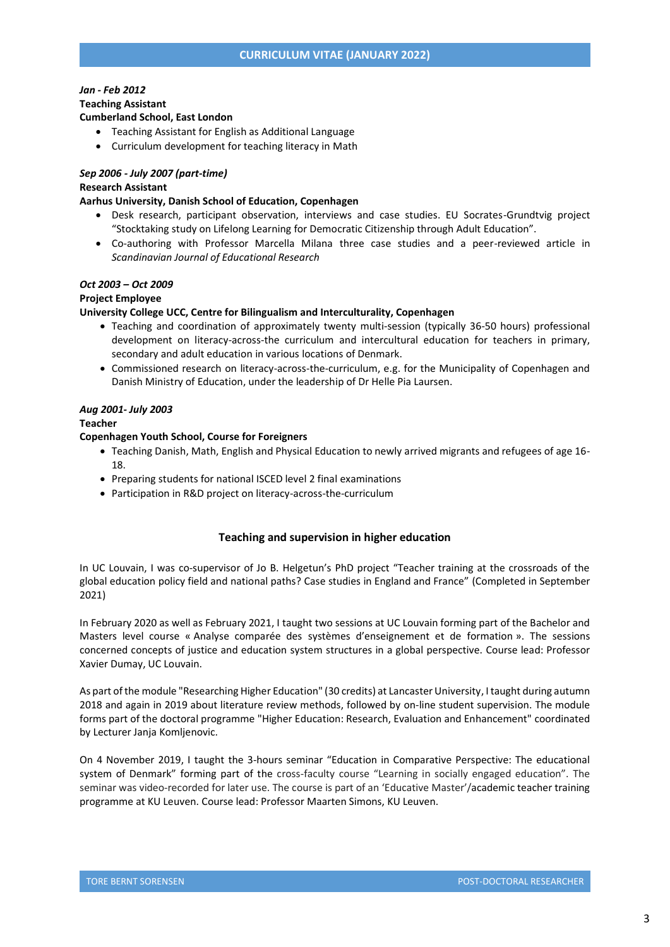# *Jan - Feb 2012* **Teaching Assistant**

## **Cumberland School, East London**

- Teaching Assistant for English as Additional Language
- Curriculum development for teaching literacy in Math

## *Sep 2006 - July 2007 (part-time)* **Research Assistant**

### **Aarhus University, Danish School of Education, Copenhagen**

- Desk research, participant observation, interviews and case studies. EU Socrates-Grundtvig project "Stocktaking study on Lifelong Learning for Democratic Citizenship through Adult Education".
- Co-authoring with Professor Marcella Milana three case studies and a peer-reviewed article in *Scandinavian Journal of Educational Research*

## *Oct 2003 – Oct 2009*

#### **Project Employee**

### **University College UCC, Centre for Bilingualism and Interculturality, Copenhagen**

- Teaching and coordination of approximately twenty multi-session (typically 36-50 hours) professional development on literacy-across-the curriculum and intercultural education for teachers in primary, secondary and adult education in various locations of Denmark.
- Commissioned research on literacy-across-the-curriculum, e.g. for the Municipality of Copenhagen and Danish Ministry of Education, under the leadership of Dr Helle Pia Laursen.

## *Aug 2001- July 2003*

#### **Teacher**

### **Copenhagen Youth School, Course for Foreigners**

- Teaching Danish, Math, English and Physical Education to newly arrived migrants and refugees of age 16- 18.
- Preparing students for national ISCED level 2 final examinations
- <span id="page-2-0"></span>Participation in R&D project on literacy-across-the-curriculum

## **Teaching and supervision in higher education**

In UC Louvain, I was co-supervisor of Jo B. Helgetun's PhD project "Teacher training at the crossroads of the global education policy field and national paths? Case studies in England and France" (Completed in September 2021)

In February 2020 as well as February 2021, I taught two sessions at UC Louvain forming part of the Bachelor and Masters level course « Analyse comparée des systèmes d'enseignement et de formation ». The sessions concerned concepts of justice and education system structures in a global perspective. Course lead: Professor Xavier Dumay, UC Louvain.

As part of the module "Researching Higher Education" (30 credits) at Lancaster University, I taught during autumn 2018 and again in 2019 about literature review methods, followed by on-line student supervision. The module forms part of the doctoral programme "Higher Education: Research, Evaluation and Enhancement" coordinated by Lecturer Janja Komljenovic.

On 4 November 2019, I taught the 3-hours seminar "Education in Comparative Perspective: The educational system of Denmark" forming part of the cross-faculty course "Learning in socially engaged education". The seminar was video-recorded for later use. The course is part of an 'Educative Master'/academic teacher training programme at KU Leuven. Course lead: Professor Maarten Simons, KU Leuven.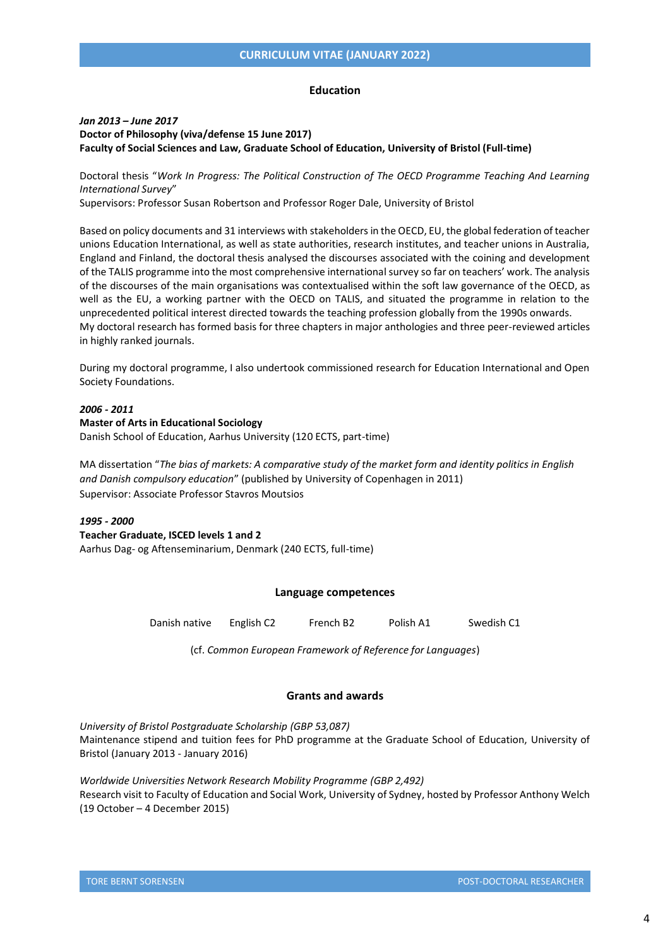#### **Education**

## <span id="page-3-0"></span>*Jan 2013 – June 2017* **Doctor of Philosophy (viva/defense 15 June 2017) Faculty of Social Sciences and Law, Graduate School of Education, University of Bristol (Full-time)**

Doctoral thesis "*Work In Progress: The Political Construction of The OECD Programme Teaching And Learning International Survey*"

Supervisors: Professor Susan Robertson and Professor Roger Dale, University of Bristol

Based on policy documents and 31 interviews with stakeholders in the OECD, EU, the global federation of teacher unions Education International, as well as state authorities, research institutes, and teacher unions in Australia, England and Finland, the doctoral thesis analysed the discourses associated with the coining and development of the TALIS programme into the most comprehensive international survey so far on teachers' work. The analysis of the discourses of the main organisations was contextualised within the soft law governance of the OECD, as well as the EU, a working partner with the OECD on TALIS, and situated the programme in relation to the unprecedented political interest directed towards the teaching profession globally from the 1990s onwards. My doctoral research has formed basis for three chapters in major anthologies and three peer-reviewed articles in highly ranked journals.

During my doctoral programme, I also undertook commissioned research for Education International and Open Society Foundations.

## *2006 - 2011*

#### **Master of Arts in Educational Sociology**

Danish School of Education, Aarhus University (120 ECTS, part-time)

MA dissertation "*The bias of markets: A comparative study of the market form and identity politics in English and Danish compulsory education*" (published by University of Copenhagen in 2011) Supervisor: Associate Professor Stavros Moutsios

## *1995 - 2000*

**Teacher Graduate, ISCED levels 1 and 2**

<span id="page-3-1"></span>Aarhus Dag- og Aftenseminarium, Denmark (240 ECTS, full-time)

#### **Language competences**

Danish native English C2 French B2 Polish A1 Swedish C1

(cf. *Common European Framework of Reference for Languages*)

### **Grants and awards**

<span id="page-3-2"></span>*University of Bristol Postgraduate Scholarship (GBP 53,087)* Maintenance stipend and tuition fees for PhD programme at the Graduate School of Education, University of Bristol (January 2013 - January 2016)

*Worldwide Universities Network Research Mobility Programme (GBP 2,492)* Research visit to Faculty of Education and Social Work, University of Sydney, hosted by Professor Anthony Welch (19 October – 4 December 2015)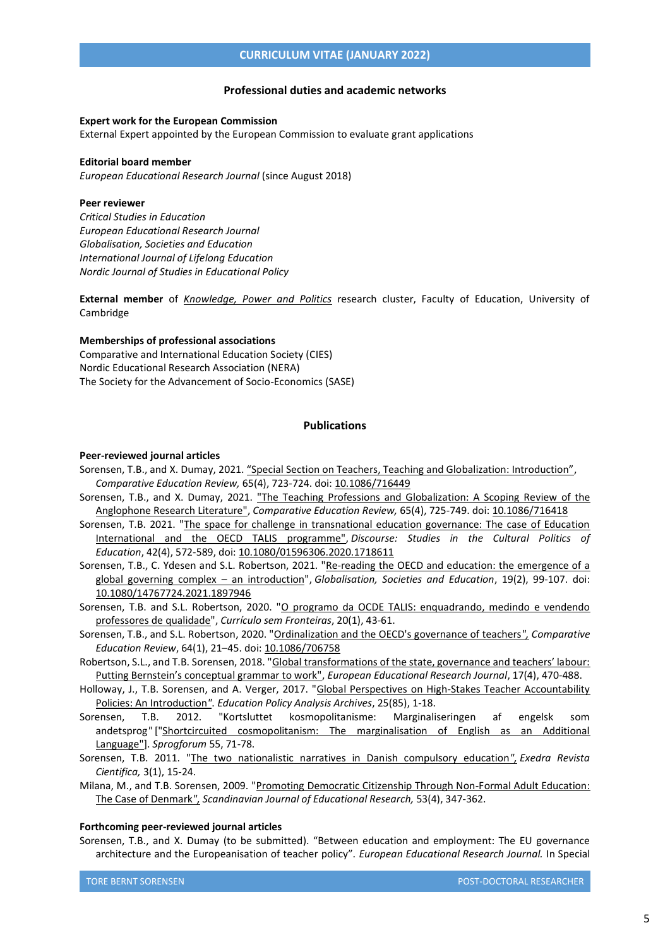#### **Professional duties and academic networks**

#### <span id="page-4-0"></span>**Expert work for the European Commission**

External Expert appointed by the European Commission to evaluate grant applications

#### **Editorial board member**

*European Educational Research Journal* (since August 2018)

#### **Peer reviewer**

*Critical Studies in Education European Educational Research Journal Globalisation, Societies and Education International Journal of Lifelong Education Nordic Journal of Studies in Educational Policy*

**External member** of *[Knowledge, Power and Politics](https://kppcam.net/)* research cluster, Faculty of Education, University of Cambridge

#### **Memberships of professional associations**

Comparative and International Education Society (CIES) Nordic Educational Research Association (NERA) The Society for the Advancement of Socio-Economics (SASE)

#### **Publications**

#### <span id="page-4-1"></span>**Peer-reviewed journal articles**

- Sorensen, T.B., and X. Dumay, 2021. ["Special Section on Teachers, Teaching and Globalization: Introduction"](https://www.journals.uchicago.edu/doi/10.1086/716449), *Comparative Education Review,* 65(4), 723-724. doi[: 10.1086/716449](https://www.journals.uchicago.edu/doi/10.1086/716449)
- Sorensen, T.B., and X. Dumay, 2021. "The Teaching Professions and Globalization: A Scoping Review of the [Anglophone Research Literature",](https://doi.org/10.1086/716418) *Comparative Education Review,* 65(4), 725-749. doi[: 10.1086/716418](https://doi.org/10.1086/716418)
- Sorensen, T.B. 2021. ["The space for challenge in transnational education governance: The case of Education](https://doi.org/10.1080/01596306.2020.1718611)  [International and the OECD TALIS programme",](https://doi.org/10.1080/01596306.2020.1718611) *Discourse: Studies in the Cultural Politics of Education*, 42(4), 572-589, doi: [10.1080/01596306.2020.1718611](https://doi.org/10.1080/01596306.2020.1718611)
- Sorensen, T.B., C. Ydesen and S.L. Robertson, 2021. "Re-reading the OECD and education: the emergence of a [global governing complex](https://7197c151-a9c5-408c-93ba-0d025e3d4cbf.filesusr.com/ugd/266990_90d43c78c7b849c7954deefb8c3c21b6.pdf) – an introduction", *Globalisation, Societies and Education*, 19(2), 99-107. doi: [10.1080/14767724.2021.1897946](https://www.tandfonline.com/doi/full/10.1080/14767724.2021.1897946)
- Sorensen, T.B. and S.L. Robertson, 2020. "O programo da OCDE TALIS: enquadrando, medindo e vendendo [professores de qualidade"](http://www.curriculosemfronteiras.org/vol20iss1articles/sorensen-robertson.html), *Currículo sem Fronteiras*, 20(1), 43-61.
- Sorensen, T.B., and S.L. Robertson, 2020. ["Ordinalization and the OECD's](https://7197c151-a9c5-408c-93ba-0d025e3d4cbf.filesusr.com/ugd/266990_e857c3e2284b4968a92521bfcdbd09f4.pdf) governance of teachers*", Comparative Education Review*, 64(1), 21–45. doi: [10.1086/706758](https://doi.org/10.1086/706758)
- Robertson, S.L., and T.B. Sorensen, 2018. "[Global transformations of the state, governance and teachers' labour:](https://journals.sagepub.com/doi/10.1177/1474904117724573)  [Putting Bernstein's conceptual grammar to work"](https://journals.sagepub.com/doi/10.1177/1474904117724573), *European Educational Research Journal*, 17(4), 470-488.
- Holloway, J., T.B. Sorensen, and A. Verger, 2017. ["Global Perspectives on High-Stakes Teacher Accountability](https://epaa.asu.edu/ojs/article/view/3325)  [Policies: An Introduction](https://epaa.asu.edu/ojs/article/view/3325)*"*. *Education Policy Analysis Archives*, 25(85), 1-18.
- Sorensen, T.B. 2012. "Kortsluttet kosmopolitanisme: Marginaliseringen af engelsk som andetsprog*"* [["Shortcircuited cosmopolitanism: The marginalisation of English as an Additional](https://en.unipress.dk/media/4215/sprogforum_55_b_soerensen2.pdf)  [Language"](https://en.unipress.dk/media/4215/sprogforum_55_b_soerensen2.pdf)]. *Sprogforum* 55, 71-78.
- Sorensen, T.B. 2011. ["The two nationalistic narratives in Danish compulsory education](http://exedra.esec.pt/docs/s-internationalization2/01.pdf)*[",](http://exedra.esec.pt/docs/s-internationalization2/01.pdf) Exedra Revista Cientifica,* 3(1), 15-24.
- Milana, M., and T.B. Sorensen, 2009. ["Promoting Democratic Citizenship Through Non-Formal](https://www.tandfonline.com/doi/abs/10.1080/00313830903043125) Adult Education: [The Case of Denmark](https://www.tandfonline.com/doi/abs/10.1080/00313830903043125)*", Scandinavian Journal of Educational Research,* 53(4), 347-362.

#### **Forthcoming peer-reviewed journal articles**

Sorensen, T.B., and X. Dumay (to be submitted). "Between education and employment: The EU governance architecture and the Europeanisation of teacher policy". *European Educational Research Journal.* In Special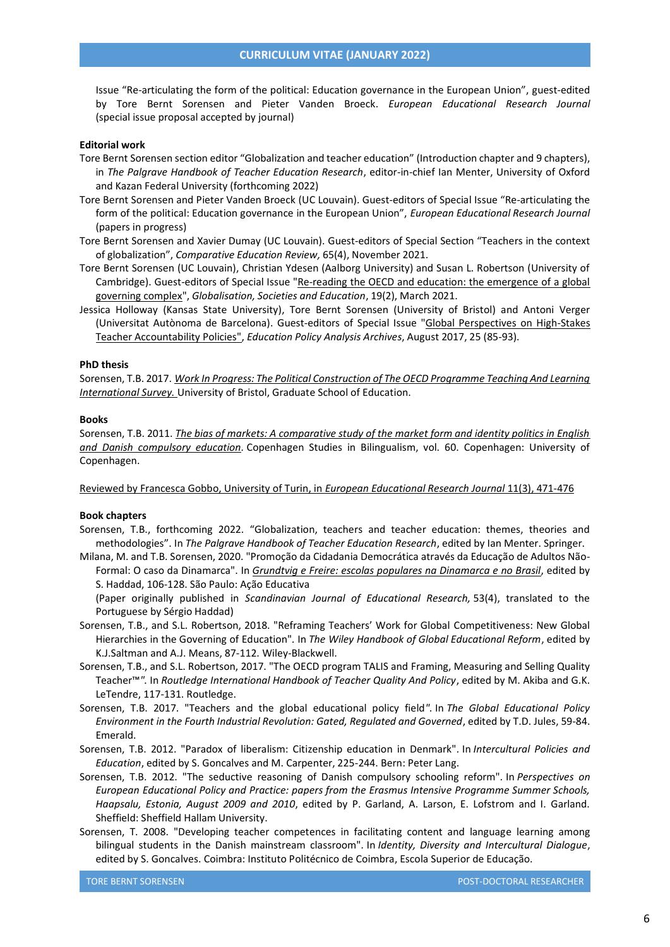Issue "Re-articulating the form of the political: Education governance in the European Union", guest-edited by Tore Bernt Sorensen and Pieter Vanden Broeck. *European Educational Research Journal* (special issue proposal accepted by journal)

#### **Editorial work**

- Tore Bernt Sorensen section editor "Globalization and teacher education" (Introduction chapter and 9 chapters), in *The Palgrave Handbook of Teacher Education Research*, editor-in-chief Ian Menter, University of Oxford and Kazan Federal University (forthcoming 2022)
- Tore Bernt Sorensen and Pieter Vanden Broeck (UC Louvain). Guest-editors of Special Issue "Re-articulating the form of the political: Education governance in the European Union", *European Educational Research Journal* (papers in progress)
- Tore Bernt Sorensen and Xavier Dumay (UC Louvain). Guest-editors of Special Section "Teachers in the context of globalization", *Comparative Education Review,* 65(4), November 2021.
- Tore Bernt Sorensen (UC Louvain), Christian Ydesen (Aalborg University) and Susan L. Robertson (University of Cambridge). Guest-editors of Special Issue ["Re-reading the OECD and education: the emergence of a global](https://www.tandfonline.com/toc/cgse20/19/2)  [governing complex"](https://www.tandfonline.com/toc/cgse20/19/2), *Globalisation, Societies and Education*, 19(2), March 2021.
- Jessica Holloway (Kansas State University), Tore Bernt Sorensen (University of Bristol) and Antoni Verger (Universitat Autònoma de Barcelona). Guest-editors of Special Issue ["Global Perspectives on High-Stakes](https://epaa.asu.edu/ojs/article/view/3325)  [Teacher Accountability Policies",](https://epaa.asu.edu/ojs/article/view/3325) *Education Policy Analysis Archives*, August 2017, 25 (85-93).

## **PhD thesis**

Sorensen, T.B. 2017. *[Work In Progress: The Political Construction of The OECD Programme Teaching And Learning](https://www.researchgate.net/publication/318529888_Work_In_Progress_The_Political_Construction_Of_The_OECD_Programme_Teaching_And_Learning_International_Survey)  [International Survey.](https://www.researchgate.net/publication/318529888_Work_In_Progress_The_Political_Construction_Of_The_OECD_Programme_Teaching_And_Learning_International_Survey)* University of Bristol, Graduate School of Education.

#### **Books**

Sorensen, T.B. 2011. *[The bias of markets: A comparative study of the market form and identity politics in English](https://andetsprogsforskning.ku.dk/forskning/koebenhavnerstudier_i_tosprogethed_/manuskripter/Bind_60_-_Tore_Bernt_S_rensen_-_The_Bias_of_Markets.pdf)  [and Danish compulsory education.](https://andetsprogsforskning.ku.dk/forskning/koebenhavnerstudier_i_tosprogethed_/manuskripter/Bind_60_-_Tore_Bernt_S_rensen_-_The_Bias_of_Markets.pdf)* Copenhagen Studies in Bilingualism, vol. 60. Copenhagen: University of Copenhagen.

[Reviewed by Francesca Gobbo, University of Turin, in](https://journals.sagepub.com/doi/abs/10.2304/eerj.2012.11.3.471) *European Educational Research Journal* 11(3), 471-476

## **Book chapters**

- Sorensen, T.B., forthcoming 2022. "Globalization, teachers and teacher education: themes, theories and methodologies". In *The Palgrave Handbook of Teacher Education Research*, edited by Ian Menter. Springer.
- Milana, M. and T.B. Sorensen, 2020. "Promoção da Cidadania Democrática através da Educação de Adultos Não-Formal: O caso da Dinamarca". In *[Grundtvig e Freire: escolas populares na Dinamarca e no Brasil](http://hdl.handle.net/123456789/2865)*, edited by S. Haddad, 106-128. São Paulo: Ação Educativa

(Paper originally published in *Scandinavian Journal of Educational Research,* 53(4), translated to the Portuguese by Sérgio Haddad)

- Sorensen, T.B., and S.L. Robertson, 2018. "Reframing Teachers' Work for Global Competitiveness: New Global Hierarchies in the Governing of Education"*.* In *The Wiley Handbook of Global Educational Reform*, edited by K.J.Saltman and A.J. Means, 87-112. Wiley-Blackwell.
- Sorensen, T.B., and S.L. Robertson, 2017. "The OECD program TALIS and Framing, Measuring and Selling Quality Teacher™*".* In *Routledge International Handbook of Teacher Quality And Policy*, edited by M. Akiba and G.K. LeTendre, 117-131. Routledge.
- Sorensen, T.B. 2017. "Teachers and the global educational policy field*".* In *The Global Educational Policy Environment in the Fourth Industrial Revolution: Gated, Regulated and Governed*, edited by T.D. Jules, 59-84. Emerald.
- Sorensen, T.B. 2012. "Paradox of liberalism: Citizenship education in Denmark"*.* In *Intercultural Policies and Education*, edited by S. Goncalves and M. Carpenter, 225-244. Bern: Peter Lang.
- Sorensen, T.B. 2012. "The seductive reasoning of Danish compulsory schooling reform"*.* In *Perspectives on European Educational Policy and Practice: papers from the Erasmus Intensive Programme Summer Schools, Haapsalu, Estonia, August 2009 and 2010*, edited by P. Garland, A. Larson, E. Lofstrom and I. Garland. Sheffield: Sheffield Hallam University.
- Sorensen, T. 2008. "Developing teacher competences in facilitating content and language learning among bilingual students in the Danish mainstream classroom"*.* In *Identity, Diversity and Intercultural Dialogue*, edited by S. Goncalves. Coimbra: Instituto Politécnico de Coimbra, Escola Superior de Educação.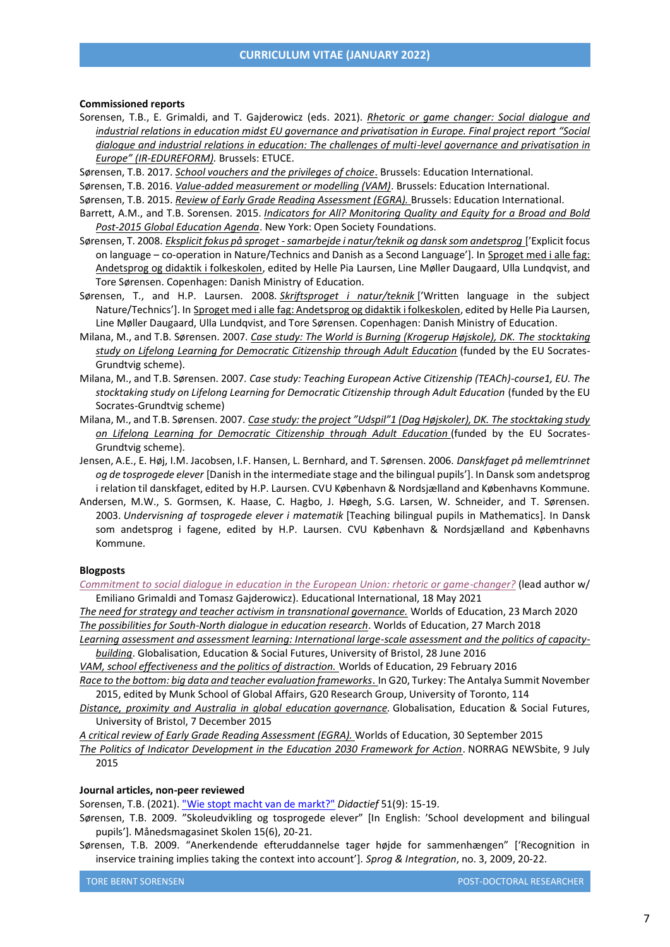#### **Commissioned reports**

- Sorensen, T.B., E. Grimaldi, and T. Gajderowicz (eds. 2021). *[Rhetoric or game changer: Social dialogue and](https://www.csee-etuce.org/en/resources/publications/4335-rhetoric-or-game-changer-social-dialogue-and-industrial-relations-in-education-midst-eu-governance-and-privatisation-in-europe-2021)  [industrial relations in education midst EU governance and privatisation in Europe. Final project report "Social](https://www.csee-etuce.org/en/resources/publications/4335-rhetoric-or-game-changer-social-dialogue-and-industrial-relations-in-education-midst-eu-governance-and-privatisation-in-europe-2021)  [dialogue and industrial relations in education: The challenges of multi-level governance and privatisation in](https://www.csee-etuce.org/en/resources/publications/4335-rhetoric-or-game-changer-social-dialogue-and-industrial-relations-in-education-midst-eu-governance-and-privatisation-in-europe-2021)  Europe" [\(IR-EDUREFORM\).](https://www.csee-etuce.org/en/resources/publications/4335-rhetoric-or-game-changer-social-dialogue-and-industrial-relations-in-education-midst-eu-governance-and-privatisation-in-europe-2021)* Brussels: ETUCE.
- Sørensen, T.B. 2017. *[School vouchers and the privileges of choice](https://www.ei-ie.org/en/woe_homepage/woe_detail/15657/school-vouchers-and-the-privileges-of-choice)*. Brussels: Education International.
- Sørensen, T.B. 2016. *[Value-added measurement or modelling \(VAM\)](http://download.ei-ie.org/Docs/WebDepot/2016_EI_VAM_EN_final_Web.pdf)*. Brussels: Education International.
- Sørensen, T.B. 2015. *[Review of Early Grade Reading Assessment \(EGRA\).](http://download.ei-ie.org/Docs/WebDepot/EGRA%20note%2015%20July%202015.pdf)* Brussels: Education International.
- Barrett, A.M., and T.B. Sorensen. 2015. *[Indicators for All? Monitoring Quality and Equity for a Broad and Bold](https://www.opensocietyfoundations.org/publications/indicators-broad-bold-education-agenda)  [Post-2015 Global Education Agenda](https://www.opensocietyfoundations.org/publications/indicators-broad-bold-education-agenda)*. New York: Open Society Foundations.
- Sørensen, T. 2008. *[Eksplicit fokus på sproget -samarbejde i natur/teknik og dansk som andetsprog](http://static.uvm.dk/Publikationer/2008/sprogogfag/hel.html#kap1)* ['Explicit focus on language – co-operation in Nature/Technics and Danish as a Second Language']. In [Sproget med i alle fag:](http://static.uvm.dk/Publikationer/2008/sprogogfag/hel.html)  [Andetsprog og didaktik i folkeskolen,](http://static.uvm.dk/Publikationer/2008/sprogogfag/hel.html) edited by Helle Pia Laursen, Line Møller Daugaard, Ulla Lundqvist, and Tore Sørensen. Copenhagen: Danish Ministry of Education.
- Sørensen, T., and H.P. Laursen. 2008. *[Skriftsproget i natur/teknik](http://static.uvm.dk/Publikationer/2008/sprogogfag/hel.html#kap9)* ['Written language in the subject Nature/Technics']. In [Sproget med i alle fag: Andetsprog og didaktik i folkeskolen,](http://static.uvm.dk/Publikationer/2008/sprogogfag/hel.html) edited by Helle Pia Laursen, Line Møller Daugaard, Ulla Lundqvist, and Tore Sørensen. Copenhagen: Danish Ministry of Education.
- Milana, M., and T.B. Sørensen. 2007. *[Case study: The World is Burning \(Krogerup Højskole\),](http://pure.au.dk/portal/en/publications/case-study-the-world-is-burning-krogerup-hoejskole-dk(a18094c0-8601-11dc-86bd-000ea68e967b).html) DK. The stocktaking [study on Lifelong Learning for Democratic Citizenship through Adult Education](http://pure.au.dk/portal/en/publications/case-study-the-world-is-burning-krogerup-hoejskole-dk(a18094c0-8601-11dc-86bd-000ea68e967b).html)* (funded by the EU Socrates-Grundtvig scheme).
- Milana, M., and T.B. Sørensen. 2007. *Case study: Teaching European Active Citizenship (TEACh)-course1, EU. The stocktaking study on Lifelong Learning for Democratic Citizenship through Adult Education* (funded by the EU Socrates-Grundtvig scheme)
- Milana, M., and T.B. Sørensen. 2007. *[Case study: the project "Udspil"1 \(Dag Højskoler\), DK. The stocktaking study](http://pure.au.dk/portal/da/publications/case-study(8cc48150-a17b-11dc-9987-000ea68e967b).html)  [on Lifelong Learning for Democratic Citizenship through Adult Education](http://pure.au.dk/portal/da/publications/case-study(8cc48150-a17b-11dc-9987-000ea68e967b).html)* (funded by the EU Socrates-Grundtvig scheme).
- Jensen, A.E., E. Høj, I.M. Jacobsen, I.F. Hansen, L. Bernhard, and T. Sørensen. 2006. *Danskfaget på mellemtrinnet og de tosprogede elever* [Danish in the intermediate stage and the bilingual pupils']. In Dansk som andetsprog i relation til danskfaget, edited by H.P. Laursen. CVU København & Nordsjælland and Københavns Kommune.
- Andersen, M.W., S. Gormsen, K. Haase, C. Hagbo, J. Høegh, S.G. Larsen, W. Schneider, and T. Sørensen. 2003. *Undervisning af tosprogede elever i matematik* [Teaching bilingual pupils in Mathematics]. In Dansk som andetsprog i fagene, edited by H.P. Laursen. CVU København & Nordsjælland and Københavns Kommune.

#### **Blogposts**

*[Commitment to social dialogue in education in the European Union: rhetoric or game-changer?](https://www.ei-ie.org/en/item/24946:commitment-to-social-dialogue-in-education-in-the-european-union-rhetoric-or-game-changer)* (lead author w/ Emiliano Grimaldi and Tomasz Gajderowicz). Educational International, 18 May 2021

*[The need for strategy and teacher activism in transnational governance.](http://bit.ly/3bjuKVH)* Worlds of Education, 23 March 2020 *[The possibilities for South-North dialogue in education research](https://worldsofeducation.org/en/woe_homepage/woe_detail/15771/the-possibilities-for-south-north-dialogue-in-education-research-by-tore-bernt-sorensen)*. Worlds of Education, 27 March 2018

*[Learning assessment and assessment learning: International large-scale assessment and the politics of capacity](https://edgesf.wordpress.com/2016/06/28/learning-assessment-and-assessment-learning-international-large-scale-assessment-and-the-politics-of-capacity-building-by-tore-bernt-sorensen/)[building](https://edgesf.wordpress.com/2016/06/28/learning-assessment-and-assessment-learning-international-large-scale-assessment-and-the-politics-of-capacity-building-by-tore-bernt-sorensen/)*. Globalisation, Education & Social Futures, University of Bristol, 28 June 2016

*[VAM, school effectiveness and the politics of distraction.](https://www.worldsofeducation.org/en/woe_homepage/woe_detail/4847/vam-school-effectiveness-and-the-politics-of-distraction)* Worlds of Education, 29 February 2016 *[Race to the bottom: big data and teacher evaluation frameworks](https://www.researchgate.net/publication/303458306_Race_to_the_bottom_big_data_and_teacher_evaluation_frameworks)*. In G20, Turkey: The Antalya Summit November

2015, edited by Munk School of Global Affairs, G20 Research Group, University of Toronto, 114

*[Distance, proximity and Australia in global education](https://edgesf.wordpress.com/2015/12/07/distance-proximity-and-australia-in-global-education-governance/) governance.* Globalisation, Education & Social Futures, University of Bristol, 7 December 2015

*[A critical review of Early Grade](https://www.worldsofeducation.org/en/woe_homepage/woe_detail/4817/a-critical-review-of-early-grade-reading-assessment-egra) [Reading Assessment \(EGRA\).](https://www.worldsofeducation.org/en/woe_homepage/woe_detail/4817/a-critical-review-of-early-grade-reading-assessment-egra)* Worlds of Education, 30 September 2015

*[The Politics of Indicator Development in the Education 2030 Framework for Action](https://www.norrag.org/the-politics-of-indicator-development-in-the-education-2030-framework-for-action/)*. NORRAG NEWSbite, 9 July 2015

#### **Journal articles, non-peer reviewed**

Sorensen, T.B. (2021). ["Wie stopt macht van de markt?"](https://didactiefonline.nl/artikel/wie-stopt-macht-van-de-markt) *Didactief* 51(9): 15-19.

- Sørensen, T.B. 2009. "Skoleudvikling og tosprogede elever" [In English: 'School development and bilingual pupils']. Månedsmagasinet Skolen 15(6), 20-21.
- Sørensen, T.B. 2009. "Anerkendende efteruddannelse tager højde for sammenhængen" ['Recognition in inservice training implies taking the context into account']. *Sprog & Integration*, no. 3, 2009, 20-22.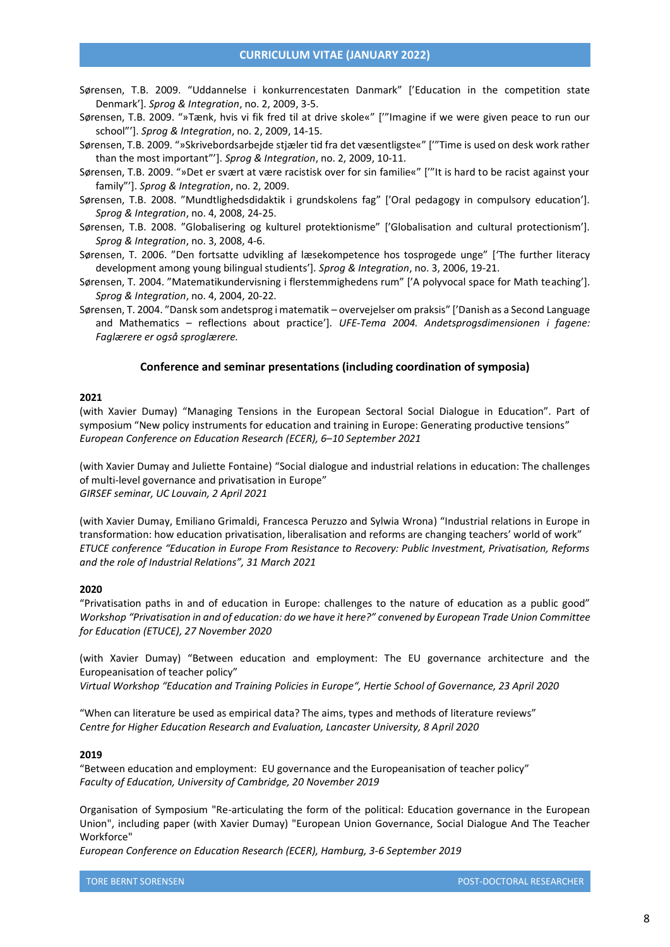- Sørensen, T.B. 2009. "Uddannelse i konkurrencestaten Danmark" ['Education in the competition state Denmark']. *Sprog & Integration*, no. 2, 2009, 3-5.
- Sørensen, T.B. 2009. "»Tænk, hvis vi fik fred til at drive skole«" ['"Imagine if we were given peace to run our school"']. *Sprog & Integration*, no. 2, 2009, 14-15.
- Sørensen, T.B. 2009. "»Skrivebordsarbejde stjæler tid fra det væsentligste«" ['"Time is used on desk work rather than the most important"']. *Sprog & Integration*, no. 2, 2009, 10-11.
- Sørensen, T.B. 2009. "»Det er svært at være racistisk over for sin familie«" ['"It is hard to be racist against your family"']. *Sprog & Integration*, no. 2, 2009.
- Sørensen, T.B. 2008. "Mundtlighedsdidaktik i grundskolens fag" ['Oral pedagogy in compulsory education']. *Sprog & Integration*, no. 4, 2008, 24-25.
- Sørensen, T.B. 2008. "Globalisering og kulturel protektionisme" ['Globalisation and cultural protectionism']. *Sprog & Integration*, no. 3, 2008, 4-6.
- Sørensen, T. 2006. "Den fortsatte udvikling af læsekompetence hos tosprogede unge" ['The further literacy development among young bilingual studients']. *Sprog & Integration*, no. 3, 2006, 19-21.
- Sørensen, T. 2004. "Matematikundervisning i flerstemmighedens rum" ['A polyvocal space for Math teaching']. *Sprog & Integration*, no. 4, 2004, 20-22.
- <span id="page-7-0"></span>Sørensen, T. 2004. "Dansk som andetsprog i matematik – overvejelser om praksis" ['Danish as a Second Language and Mathematics – reflections about practice']. *UFE-Tema 2004. Andetsprogsdimensionen i fagene: Faglærere er også sproglærere.*

## **Conference and seminar presentations (including coordination of symposia)**

#### **2021**

(with Xavier Dumay) "Managing Tensions in the European Sectoral Social Dialogue in Education". Part of symposium "New policy instruments for education and training in Europe: Generating productive tensions" *European Conference on Education Research (ECER), 6–10 September 2021*

(with Xavier Dumay and Juliette Fontaine) "Social dialogue and industrial relations in education: The challenges of multi-level governance and privatisation in Europe" *GIRSEF seminar, UC Louvain, 2 April 2021*

(with Xavier Dumay, Emiliano Grimaldi, Francesca Peruzzo and Sylwia Wrona) "Industrial relations in Europe in transformation: how education privatisation, liberalisation and reforms are changing teachers' world of work" *ETUCE conference "Education in Europe From Resistance to Recovery: Public Investment, Privatisation, Reforms and the role of Industrial Relations", 31 March 2021*

#### **2020**

"Privatisation paths in and of education in Europe: challenges to the nature of education as a public good" *Workshop "Privatisation in and of education: do we have it here?" convened by European Trade Union Committee for Education (ETUCE), 27 November 2020*

(with Xavier Dumay) "Between education and employment: The EU governance architecture and the Europeanisation of teacher policy"

*Virtual Workshop "Education and Training Policies in Europe", Hertie School of Governance, 23 April 2020*

"When can literature be used as empirical data? The aims, types and methods of literature reviews" *Centre for Higher Education Research and Evaluation, Lancaster University, 8 April 2020*

#### **2019**

"Between education and employment: EU governance and the Europeanisation of teacher policy" *Faculty of Education, University of Cambridge, 20 November 2019*

Organisation of Symposium "Re-articulating the form of the political: Education governance in the European Union", including paper (with Xavier Dumay) "European Union Governance, Social Dialogue And The Teacher Workforce"

*European Conference on Education Research (ECER), Hamburg, 3-6 September 2019*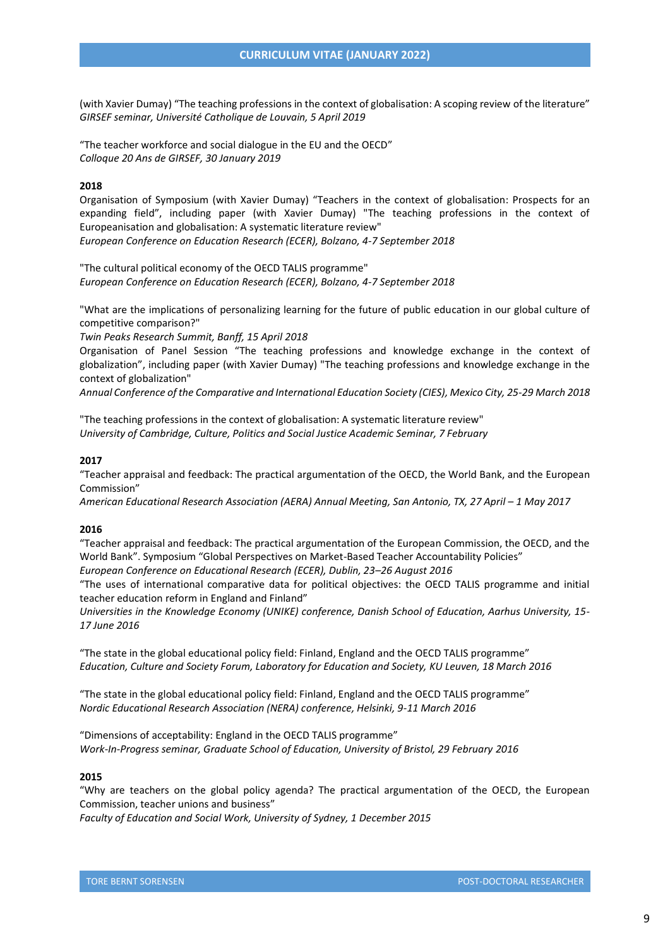(with Xavier Dumay) "The teaching professions in the context of globalisation: A scoping review of the literature" *GIRSEF seminar, Université Catholique de Louvain, 5 April 2019*

"The teacher workforce and social dialogue in the EU and the OECD" *Colloque 20 Ans de GIRSEF, 30 January 2019*

#### **2018**

Organisation of Symposium (with Xavier Dumay) "Teachers in the context of globalisation: Prospects for an expanding field", including paper (with Xavier Dumay) "The teaching professions in the context of Europeanisation and globalisation: A systematic literature review" *European Conference on Education Research (ECER), Bolzano, 4-7 September 2018*

"The cultural political economy of the OECD TALIS programme" *European Conference on Education Research (ECER), Bolzano, 4-7 September 2018*

"What are the implications of personalizing learning for the future of public education in our global culture of competitive comparison?"

*Twin Peaks Research Summit, Banff, 15 April 2018*

Organisation of Panel Session "The teaching professions and knowledge exchange in the context of globalization", including paper (with Xavier Dumay) "The teaching professions and knowledge exchange in the context of globalization"

*Annual Conference of the Comparative and International Education Society (CIES), Mexico City, 25-29 March 2018*

"The teaching professions in the context of globalisation: A systematic literature review" *University of Cambridge, Culture, Politics and Social Justice Academic Seminar, 7 February*

## **2017**

"Teacher appraisal and feedback: The practical argumentation of the OECD, the World Bank, and the European Commission"

*American Educational Research Association (AERA) Annual Meeting, San Antonio, TX, 27 April – 1 May 2017*

#### **2016**

"Teacher appraisal and feedback: The practical argumentation of the European Commission, the OECD, and the World Bank". Symposium "Global Perspectives on Market-Based Teacher Accountability Policies"

*European Conference on Educational Research (ECER), Dublin, 23–26 August 2016*

"The uses of international comparative data for political objectives: the OECD TALIS programme and initial teacher education reform in England and Finland"

*Universities in the Knowledge Economy (UNIKE) conference, Danish School of Education, Aarhus University, 15- 17 June 2016*

"The state in the global educational policy field: Finland, England and the OECD TALIS programme" *Education, Culture and Society Forum, Laboratory for Education and Society, KU Leuven, 18 March 2016*

"The state in the global educational policy field: Finland, England and the OECD TALIS programme" *Nordic Educational Research Association (NERA) conference, Helsinki, 9-11 March 2016*

"Dimensions of acceptability: England in the OECD TALIS programme" *Work-In-Progress seminar, Graduate School of Education, University of Bristol, 29 February 2016*

### **2015**

"Why are teachers on the global policy agenda? The practical argumentation of the OECD, the European Commission, teacher unions and business"

*Faculty of Education and Social Work, University of Sydney, 1 December 2015*